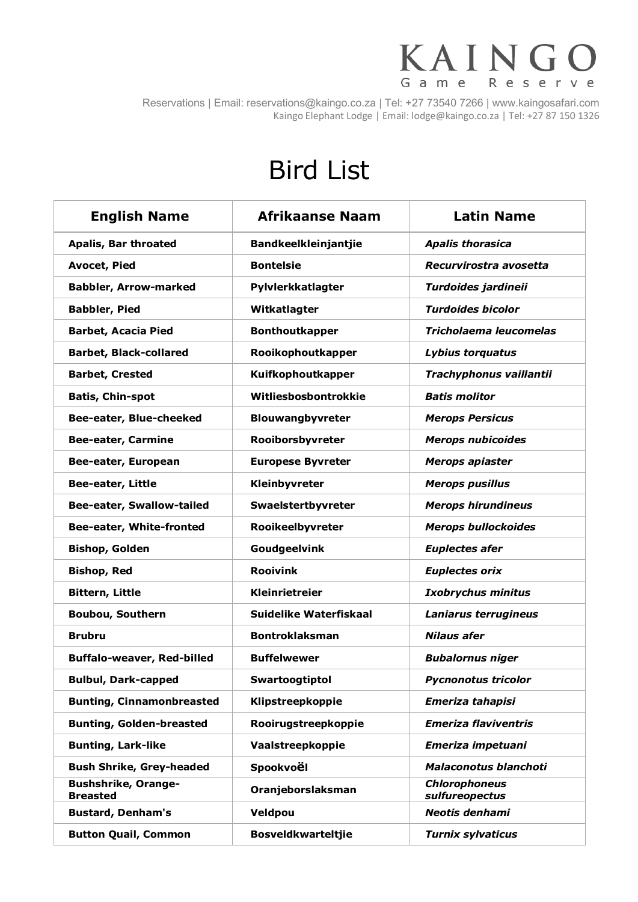## KAINGO Game Reserve

Reservations | Email: reservations@kaingo.co.za | Tel: +27 73540 7266 | www.kaingosafari.com Kaingo Elephant Lodge | Email: lodge@kaingo.co.za | Tel: +27 87 150 1326

## Bird List

| <b>English Name</b>                           | <b>Afrikaanse Naam</b>      | <b>Latin Name</b>                      |
|-----------------------------------------------|-----------------------------|----------------------------------------|
| Apalis, Bar throated                          | <b>Bandkeelkleinjantjie</b> | <b>Apalis thorasica</b>                |
| <b>Avocet, Pied</b>                           | <b>Bontelsie</b>            | Recurvirostra avosetta                 |
| <b>Babbler, Arrow-marked</b>                  | Pylvlerkkatlagter           | Turdoides jardineii                    |
| <b>Babbler, Pied</b>                          | Witkatlagter                | <b>Turdoides bicolor</b>               |
| <b>Barbet, Acacia Pied</b>                    | <b>Bonthoutkapper</b>       | Tricholaema leucomelas                 |
| <b>Barbet, Black-collared</b>                 | Rooikophoutkapper           | Lybius torquatus                       |
| <b>Barbet, Crested</b>                        | Kuifkophoutkapper           | Trachyphonus vaillantii                |
| <b>Batis, Chin-spot</b>                       | Witliesbosbontrokkie        | <b>Batis molitor</b>                   |
| Bee-eater, Blue-cheeked                       | Blouwangbyvreter            | <b>Merops Persicus</b>                 |
| <b>Bee-eater, Carmine</b>                     | Rooiborsbyvreter            | <b>Merops nubicoides</b>               |
| Bee-eater, European                           | <b>Europese Byvreter</b>    | <b>Merops apiaster</b>                 |
| Bee-eater, Little                             | Kleinbyvreter               | <b>Merops pusillus</b>                 |
| <b>Bee-eater, Swallow-tailed</b>              | Swaelstertbyvreter          | <b>Merops hirundineus</b>              |
| Bee-eater, White-fronted                      | Rooikeelbyvreter            | <b>Merops bullockoides</b>             |
| <b>Bishop, Golden</b>                         | Goudgeelvink                | <b>Euplectes afer</b>                  |
| <b>Bishop, Red</b>                            | <b>Rooivink</b>             | <b>Euplectes orix</b>                  |
| <b>Bittern, Little</b>                        | Kleinrietreier              | <b>Ixobrychus minitus</b>              |
| <b>Boubou, Southern</b>                       | Suidelike Waterfiskaal      | Laniarus terrugineus                   |
| <b>Brubru</b>                                 | <b>Bontroklaksman</b>       | <b>Nilaus afer</b>                     |
| <b>Buffalo-weaver, Red-billed</b>             | <b>Buffelwewer</b>          | <b>Bubalornus niger</b>                |
| <b>Bulbul, Dark-capped</b>                    | Swartoogtiptol              | <b>Pycnonotus tricolor</b>             |
| <b>Bunting, Cinnamonbreasted</b>              | Klipstreepkoppie            | <b>Emeriza tahapisi</b>                |
| <b>Bunting, Golden-breasted</b>               | Rooirugstreepkoppie         | <b>Emeriza flaviventris</b>            |
| <b>Bunting, Lark-like</b>                     | Vaalstreepkoppie            | Emeriza impetuani                      |
| <b>Bush Shrike, Grey-headed</b>               | Spookvoël                   | <b>Malaconotus blanchoti</b>           |
| <b>Bushshrike, Orange-</b><br><b>Breasted</b> | Oranjeborslaksman           | <b>Chlorophoneus</b><br>sulfureopectus |
| <b>Bustard, Denham's</b>                      | Veldpou                     | Neotis denhami                         |
| <b>Button Quail, Common</b>                   | <b>Bosveldkwarteltjie</b>   | <b>Turnix sylvaticus</b>               |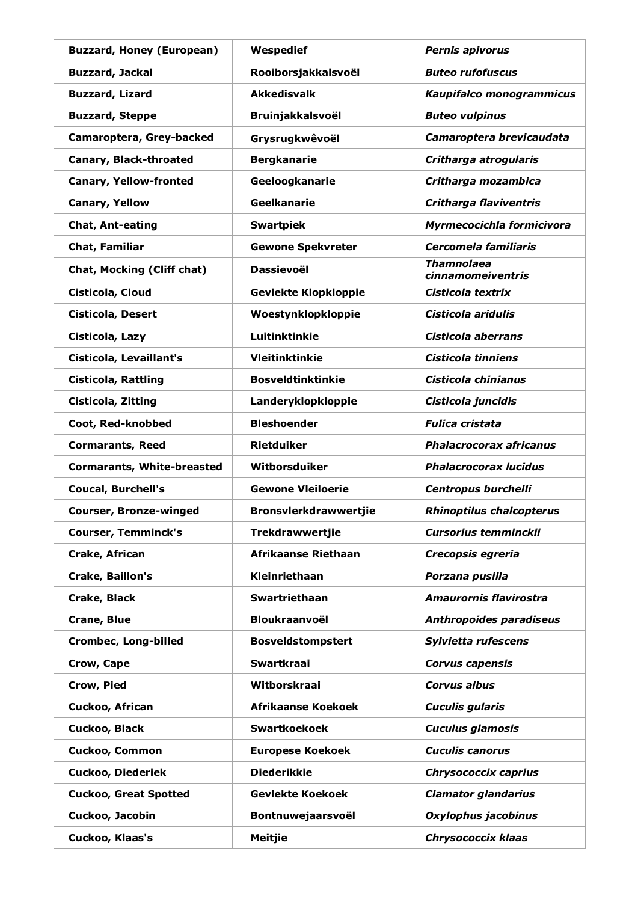| <b>Buzzard, Honey (European)</b>  | Wespedief                    | <b>Pernis apivorus</b>                 |
|-----------------------------------|------------------------------|----------------------------------------|
| <b>Buzzard, Jackal</b>            | Rooiborsjakkalsvoël          | <b>Buteo rufofuscus</b>                |
| <b>Buzzard, Lizard</b>            | <b>Akkedisvalk</b>           | Kaupifalco monogrammicus               |
| <b>Buzzard, Steppe</b>            | <b>Bruinjakkalsvoël</b>      | <b>Buteo vulpinus</b>                  |
| Camaroptera, Grey-backed          | Grysrugkwêvoël               | Camaroptera brevicaudata               |
| <b>Canary, Black-throated</b>     | <b>Bergkanarie</b>           | Critharga atrogularis                  |
| <b>Canary, Yellow-fronted</b>     | Geeloogkanarie               | Critharga mozambica                    |
| <b>Canary, Yellow</b>             | <b>Geelkanarie</b>           | <b>Critharga flaviventris</b>          |
| <b>Chat, Ant-eating</b>           | <b>Swartpiek</b>             | Myrmecocichla formicivora              |
| Chat, Familiar                    | <b>Gewone Spekvreter</b>     | Cercomela familiaris                   |
| <b>Chat, Mocking (Cliff chat)</b> | <b>Dassievoël</b>            | <b>Thamnolaea</b><br>cinnamomeiventris |
| Cisticola, Cloud                  | <b>Gevlekte Klopkloppie</b>  | Cisticola textrix                      |
| Cisticola, Desert                 | Woestynklopkloppie           | Cisticola aridulis                     |
| Cisticola, Lazy                   | Luitinktinkie                | <b>Cisticola aberrans</b>              |
| Cisticola, Levaillant's           | Vleitinktinkie               | Cisticola tinniens                     |
| <b>Cisticola, Rattling</b>        | <b>Bosveldtinktinkie</b>     | Cisticola chinianus                    |
| Cisticola, Zitting                | Landeryklopkloppie           | Cisticola juncidis                     |
| Coot, Red-knobbed                 | <b>Bleshoender</b>           | <b>Fulica cristata</b>                 |
| <b>Cormarants, Reed</b>           | Rietduiker                   | <b>Phalacrocorax africanus</b>         |
| <b>Cormarants, White-breasted</b> | Witborsduiker                | <b>Phalacrocorax lucidus</b>           |
| <b>Coucal, Burchell's</b>         | <b>Gewone Vleiloerie</b>     | Centropus burchelli                    |
| <b>Courser, Bronze-winged</b>     | <b>Bronsvlerkdrawwertjie</b> | <b>Rhinoptilus chalcopterus</b>        |
| <b>Courser, Temminck's</b>        | Trekdrawwertjie              | <b>Cursorius temminckii</b>            |
| <b>Crake, African</b>             | Afrikaanse Riethaan          | Crecopsis egreria                      |
| Crake, Baillon's                  | Kleinriethaan                | Porzana pusilla                        |
| Crake, Black                      | Swartriethaan                | <b>Amaurornis flavirostra</b>          |
| Crane, Blue                       | <b>Bloukraanvoël</b>         | <b>Anthropoides paradiseus</b>         |
| <b>Crombec, Long-billed</b>       | <b>Bosveldstompstert</b>     | Sylvietta rufescens                    |
| Crow, Cape                        | <b>Swartkraai</b>            | <b>Corvus capensis</b>                 |
| Crow, Pied                        | Witborskraai                 | <b>Corvus albus</b>                    |
| Cuckoo, African                   | <b>Afrikaanse Koekoek</b>    | <b>Cuculis gularis</b>                 |
| Cuckoo, Black                     | <b>Swartkoekoek</b>          | <b>Cuculus glamosis</b>                |
| <b>Cuckoo, Common</b>             | <b>Europese Koekoek</b>      | <b>Cuculis canorus</b>                 |
| <b>Cuckoo, Diederiek</b>          | <b>Diederikkie</b>           | Chrysococcix caprius                   |
| <b>Cuckoo, Great Spotted</b>      | <b>Gevlekte Koekoek</b>      | <b>Clamator glandarius</b>             |
| Cuckoo, Jacobin                   | Bontnuwejaarsvoël            | Oxylophus jacobinus                    |
| Cuckoo, Klaas's                   | <b>Meitjie</b>               | Chrysococcix klaas                     |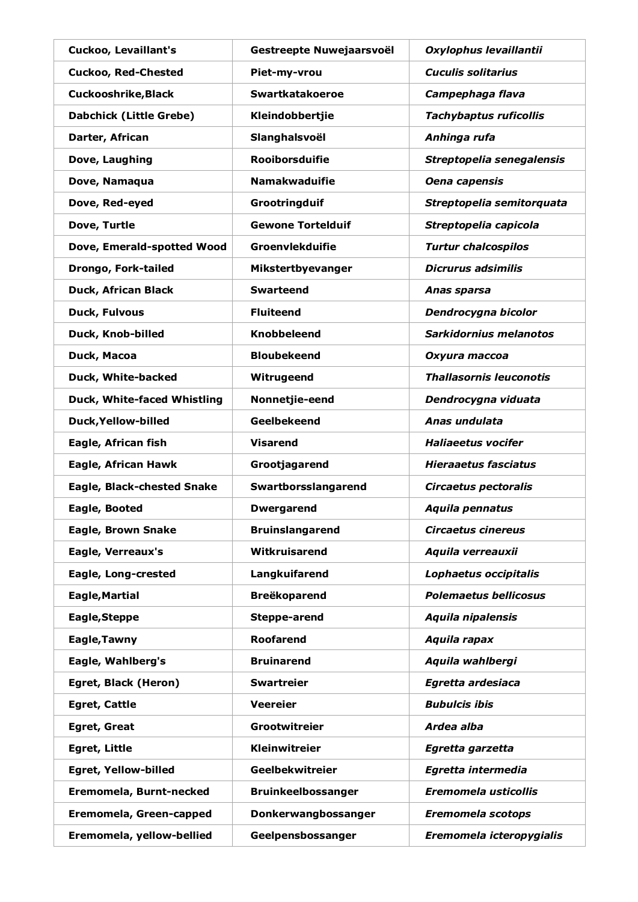| Cuckoo, Levaillant's           | Gestreepte Nuwejaarsvoël  | Oxylophus levaillantii         |
|--------------------------------|---------------------------|--------------------------------|
| <b>Cuckoo, Red-Chested</b>     | Piet-my-vrou              | <b>Cuculis solitarius</b>      |
| <b>Cuckooshrike, Black</b>     | <b>Swartkatakoeroe</b>    | Campephaga flava               |
| <b>Dabchick (Little Grebe)</b> | Kleindobbertjie           | <b>Tachybaptus ruficollis</b>  |
| Darter, African                | Slanghalsvoël             | Anhinga rufa                   |
| Dove, Laughing                 | <b>Rooiborsduifie</b>     | Streptopelia senegalensis      |
| Dove, Namaqua                  | <b>Namakwaduifie</b>      | Oena capensis                  |
| Dove, Red-eyed                 | Grootringduif             | Streptopelia semitorquata      |
| Dove, Turtle                   | <b>Gewone Tortelduif</b>  | Streptopelia capicola          |
| Dove, Emerald-spotted Wood     | Groenvlekduifie           | <b>Turtur chalcospilos</b>     |
| Drongo, Fork-tailed            | Mikstertbyevanger         | <b>Dicrurus adsimilis</b>      |
| Duck, African Black            | <b>Swarteend</b>          | Anas sparsa                    |
| Duck, Fulvous                  | <b>Fluiteend</b>          | Dendrocygna bicolor            |
| Duck, Knob-billed              | <b>Knobbeleend</b>        | Sarkidornius melanotos         |
| Duck, Macoa                    | <b>Bloubekeend</b>        | Oxyura maccoa                  |
| Duck, White-backed             | Witrugeend                | <b>Thallasornis leuconotis</b> |
| Duck, White-faced Whistling    | Nonnetjie-eend            | Dendrocygna viduata            |
| Duck, Yellow-billed            | Geelbekeend               | Anas undulata                  |
| Eagle, African fish            | <b>Visarend</b>           | <b>Haliaeetus vocifer</b>      |
| Eagle, African Hawk            | Grootjagarend             | <b>Hieraaetus fasciatus</b>    |
| Eagle, Black-chested Snake     | Swartborsslangarend       | Circaetus pectoralis           |
| Eagle, Booted                  | <b>Dwergarend</b>         | Aquila pennatus                |
| <b>Eagle, Brown Snake</b>      | <b>Bruinslangarend</b>    | <b>Circaetus cinereus</b>      |
| Eagle, Verreaux's              | Witkruisarend             | Aquila verreauxii              |
| Eagle, Long-crested            | Langkuifarend             | Lophaetus occipitalis          |
| <b>Eagle, Martial</b>          | <b>Breëkoparend</b>       | <b>Polemaetus bellicosus</b>   |
| Eagle, Steppe                  | Steppe-arend              | <b>Aquila nipalensis</b>       |
| Eagle, Tawny                   | <b>Roofarend</b>          | Aquila rapax                   |
| Eagle, Wahlberg's              | <b>Bruinarend</b>         | Aquila wahlbergi               |
| Egret, Black (Heron)           | <b>Swartreier</b>         | Egretta ardesiaca              |
| <b>Egret, Cattle</b>           | <b>Veereier</b>           | <b>Bubulcis ibis</b>           |
| <b>Egret, Great</b>            | Grootwitreier             | Ardea alba                     |
| <b>Egret, Little</b>           | Kleinwitreier             | Egretta garzetta               |
| <b>Egret, Yellow-billed</b>    | Geelbekwitreier           | Egretta intermedia             |
| Eremomela, Burnt-necked        | <b>Bruinkeelbossanger</b> | <b>Eremomela usticollis</b>    |
| Eremomela, Green-capped        | Donkerwangbossanger       | <b>Eremomela scotops</b>       |
| Eremomela, yellow-bellied      | Geelpensbossanger         | Eremomela icteropygialis       |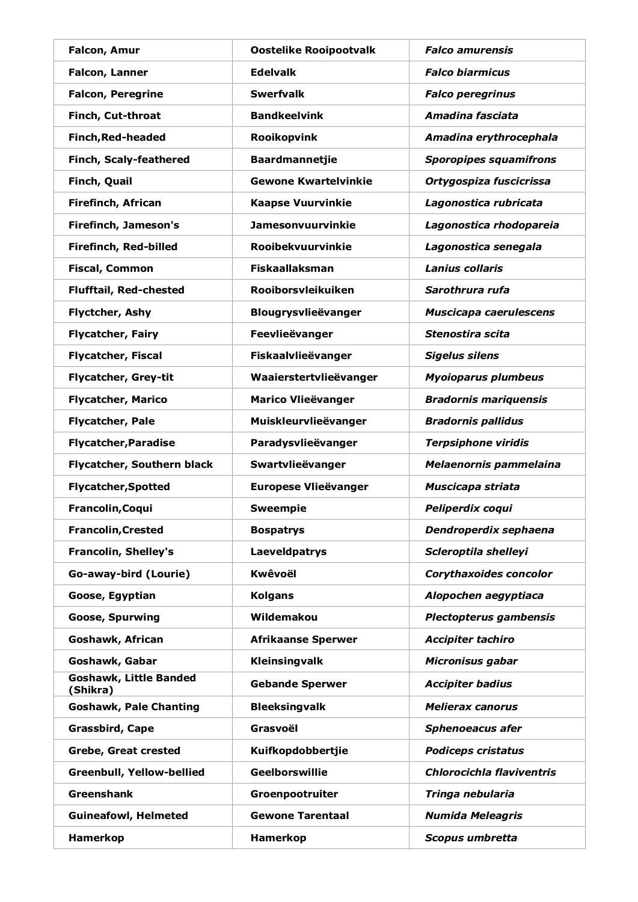| <b>Falcon, Amur</b>                | <b>Oostelike Rooipootvalk</b> | <b>Falco amurensis</b>           |
|------------------------------------|-------------------------------|----------------------------------|
| <b>Falcon, Lanner</b>              | <b>Edelvalk</b>               | <b>Falco biarmicus</b>           |
| <b>Falcon, Peregrine</b>           | <b>Swerfvalk</b>              | <b>Falco peregrinus</b>          |
| Finch, Cut-throat                  | <b>Bandkeelvink</b>           | Amadina fasciata                 |
| <b>Finch, Red-headed</b>           | Rooikopvink                   | Amadina erythrocephala           |
| Finch, Scaly-feathered             | <b>Baardmannetjie</b>         | <b>Sporopipes squamifrons</b>    |
| Finch, Quail                       | <b>Gewone Kwartelvinkie</b>   | Ortygospiza fuscicrissa          |
| Firefinch, African                 | <b>Kaapse Vuurvinkie</b>      | Lagonostica rubricata            |
| <b>Firefinch, Jameson's</b>        | <b>Jamesonvuurvinkie</b>      | Lagonostica rhodopareia          |
| Firefinch, Red-billed              | <b>Rooibekvuurvinkie</b>      | Lagonostica senegala             |
| <b>Fiscal, Common</b>              | <b>Fiskaallaksman</b>         | <b>Lanius collaris</b>           |
| <b>Flufftail, Red-chested</b>      | Rooiborsvleikuiken            | Sarothrura rufa                  |
| Flyctcher, Ashy                    | Blougrysvlieëvanger           | Muscicapa caerulescens           |
| <b>Flycatcher, Fairy</b>           | Feevlieëvanger                | Stenostira scita                 |
| <b>Flycatcher, Fiscal</b>          | Fiskaalvlieëvanger            | <b>Sigelus silens</b>            |
| <b>Flycatcher, Grey-tit</b>        | Waaierstertvlieëvanger        | <b>Myoioparus plumbeus</b>       |
| <b>Flycatcher, Marico</b>          | <b>Marico Vlieëvanger</b>     | <b>Bradornis mariquensis</b>     |
| Flycatcher, Pale                   | Muiskleurvlieëvanger          | <b>Bradornis pallidus</b>        |
| <b>Flycatcher, Paradise</b>        | Paradysvlieëvanger            | <b>Terpsiphone viridis</b>       |
| Flycatcher, Southern black         | Swartvlieëvanger              | Melaenornis pammelaina           |
| <b>Flycatcher, Spotted</b>         | <b>Europese Vlieëvanger</b>   | Muscicapa striata                |
| Francolin, Coqui                   | <b>Sweempie</b>               | Peliperdix coqui                 |
| <b>Francolin, Crested</b>          | <b>Bospatrys</b>              | Dendroperdix sephaena            |
| <b>Francolin, Shelley's</b>        | <b>Laeveldpatrys</b>          | Scleroptila shelleyi             |
| Go-away-bird (Lourie)              | <b>Kwêvoël</b>                | <b>Corythaxoides concolor</b>    |
| Goose, Egyptian                    | <b>Kolgans</b>                | Alopochen aegyptiaca             |
| <b>Goose, Spurwing</b>             | Wildemakou                    | Plectopterus gambensis           |
| <b>Goshawk, African</b>            | <b>Afrikaanse Sperwer</b>     | <b>Accipiter tachiro</b>         |
| Goshawk, Gabar                     | Kleinsingvalk                 | Micronisus gabar                 |
| Goshawk, Little Banded<br>(Shikra) | <b>Gebande Sperwer</b>        | <b>Accipiter badius</b>          |
| <b>Goshawk, Pale Chanting</b>      | <b>Bleeksingvalk</b>          | <b>Melierax canorus</b>          |
| Grassbird, Cape                    | Grasvoël                      | <b>Sphenoeacus afer</b>          |
| <b>Grebe, Great crested</b>        | Kuifkopdobbertjie             | <b>Podiceps cristatus</b>        |
| <b>Greenbull, Yellow-bellied</b>   | Geelborswillie                | <b>Chlorocichla flaviventris</b> |
| <b>Greenshank</b>                  | Groenpootruiter               | Tringa nebularia                 |
| <b>Guineafowl, Helmeted</b>        | <b>Gewone Tarentaal</b>       | <b>Numida Meleagris</b>          |
| Hamerkop                           | Hamerkop                      | Scopus umbretta                  |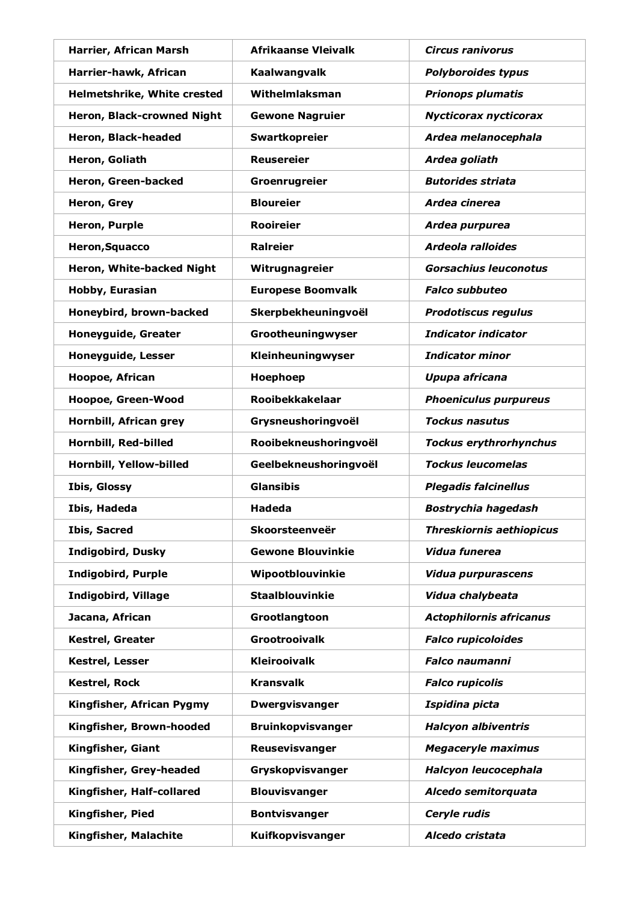| Harrier, African Marsh      | <b>Afrikaanse Vleivalk</b> | <b>Circus ranivorus</b>         |
|-----------------------------|----------------------------|---------------------------------|
| Harrier-hawk, African       | Kaalwangvalk               | <b>Polyboroides typus</b>       |
| Helmetshrike, White crested | Withelmlaksman             | <b>Prionops plumatis</b>        |
| Heron, Black-crowned Night  | <b>Gewone Nagruier</b>     | <b>Nycticorax nycticorax</b>    |
| Heron, Black-headed         | Swartkopreier              | Ardea melanocephala             |
| Heron, Goliath              | <b>Reusereier</b>          | Ardea goliath                   |
| Heron, Green-backed         | Groenrugreier              | <b>Butorides striata</b>        |
| Heron, Grey                 | <b>Bloureier</b>           | Ardea cinerea                   |
| Heron, Purple               | <b>Rooireier</b>           | Ardea purpurea                  |
| Heron, Squacco              | <b>Ralreier</b>            | <b>Ardeola ralloides</b>        |
| Heron, White-backed Night   | Witrugnagreier             | <b>Gorsachius leuconotus</b>    |
| Hobby, Eurasian             | <b>Europese Boomvalk</b>   | <b>Falco subbuteo</b>           |
| Honeybird, brown-backed     | Skerpbekheuningvoël        | <b>Prodotiscus regulus</b>      |
| Honeyguide, Greater         | Grootheuningwyser          | <b>Indicator indicator</b>      |
| <b>Honeyguide, Lesser</b>   | Kleinheuningwyser          | <b>Indicator minor</b>          |
| Hoopoe, African             | Hoephoep                   | Upupa africana                  |
| Hoopoe, Green-Wood          | <b>Rooibekkakelaar</b>     | <b>Phoeniculus purpureus</b>    |
| Hornbill, African grey      | Grysneushoringvoël         | <b>Tockus nasutus</b>           |
| Hornbill, Red-billed        | Rooibekneushoringvoël      | <b>Tockus erythrorhynchus</b>   |
| Hornbill, Yellow-billed     | Geelbekneushoringvoël      | <b>Tockus leucomelas</b>        |
| <b>Ibis, Glossy</b>         | <b>Glansibis</b>           | <b>Plegadis falcinellus</b>     |
| Ibis, Hadeda                | <b>Hadeda</b>              | <b>Bostrychia hagedash</b>      |
| <b>Ibis, Sacred</b>         | Skoorsteenveër             | <b>Threskiornis aethiopicus</b> |
| Indigobird, Dusky           | <b>Gewone Blouvinkie</b>   | Vidua funerea                   |
| <b>Indigobird, Purple</b>   | Wipootblouvinkie           | <b>Vidua purpurascens</b>       |
| <b>Indigobird, Village</b>  | <b>Staalblouvinkie</b>     | Vidua chalybeata                |
| Jacana, African             | Grootlangtoon              | <b>Actophilornis africanus</b>  |
| Kestrel, Greater            | Grootrooivalk              | <b>Falco rupicoloides</b>       |
| Kestrel, Lesser             | <b>Kleirooivalk</b>        | <b>Falco naumanni</b>           |
| <b>Kestrel, Rock</b>        | <b>Kransvalk</b>           | <b>Falco rupicolis</b>          |
| Kingfisher, African Pygmy   | <b>Dwergvisvanger</b>      | Ispidina picta                  |
| Kingfisher, Brown-hooded    | <b>Bruinkopvisvanger</b>   | <b>Halcyon albiventris</b>      |
| Kingfisher, Giant           | Reusevisvanger             | <b>Megaceryle maximus</b>       |
| Kingfisher, Grey-headed     | Gryskopvisvanger           | Halcyon leucocephala            |
| Kingfisher, Half-collared   | <b>Blouvisvanger</b>       | Alcedo semitorquata             |
| Kingfisher, Pied            | <b>Bontvisvanger</b>       | Ceryle rudis                    |
| Kingfisher, Malachite       | Kuifkopvisvanger           | Alcedo cristata                 |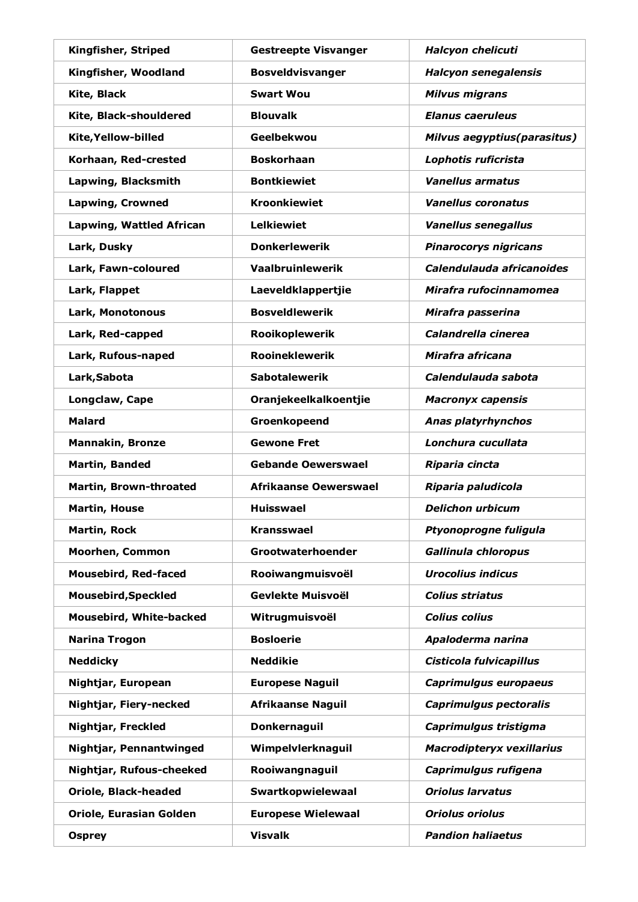| Kingfisher, Striped             | <b>Gestreepte Visvanger</b>  | Halcyon chelicuti            |
|---------------------------------|------------------------------|------------------------------|
| Kingfisher, Woodland            | <b>Bosveldvisvanger</b>      | <b>Halcyon senegalensis</b>  |
| Kite, Black                     | <b>Swart Wou</b>             | <b>Milvus migrans</b>        |
| Kite, Black-shouldered          | <b>Blouvalk</b>              | <b>Elanus caeruleus</b>      |
| Kite, Yellow-billed             | Geelbekwou                   | Milvus aegyptius(parasitus)  |
| Korhaan, Red-crested            | <b>Boskorhaan</b>            | Lophotis ruficrista          |
| Lapwing, Blacksmith             | <b>Bontkiewiet</b>           | <b>Vanellus armatus</b>      |
| <b>Lapwing, Crowned</b>         | <b>Kroonkiewiet</b>          | <b>Vanellus coronatus</b>    |
| <b>Lapwing, Wattled African</b> | <b>Lelkiewiet</b>            | <b>Vanellus senegallus</b>   |
| Lark, Dusky                     | <b>Donkerlewerik</b>         | <b>Pinarocorys nigricans</b> |
| Lark, Fawn-coloured             | <b>Vaalbruinlewerik</b>      | Calendulauda africanoides    |
| Lark, Flappet                   | Laeveldklappertjie           | Mirafra rufocinnamomea       |
| Lark, Monotonous                | <b>Bosveldlewerik</b>        | Mirafra passerina            |
| Lark, Red-capped                | Rooikoplewerik               | Calandrella cinerea          |
| Lark, Rufous-naped              | <b>Rooineklewerik</b>        | Mirafra africana             |
| Lark, Sabota                    | <b>Sabotalewerik</b>         | Calendulauda sabota          |
| Longclaw, Cape                  | Oranjekeelkalkoentjie        | <b>Macronyx capensis</b>     |
| <b>Malard</b>                   | Groenkopeend                 | Anas platyrhynchos           |
| <b>Mannakin, Bronze</b>         | <b>Gewone Fret</b>           | Lonchura cucullata           |
| <b>Martin, Banded</b>           | <b>Gebande Oewerswael</b>    | Riparia cincta               |
| Martin, Brown-throated          | <b>Afrikaanse Oewerswael</b> | Riparia paludicola           |
| <b>Martin, House</b>            | <b>Huisswael</b>             | <b>Delichon urbicum</b>      |
| <b>Martin, Rock</b>             | <b>Kransswael</b>            | Ptyonoprogne fuligula        |
| <b>Moorhen, Common</b>          | Grootwaterhoender            | Gallinula chloropus          |
| <b>Mousebird, Red-faced</b>     | Rooiwangmuisvoël             | <b>Urocolius indicus</b>     |
| <b>Mousebird, Speckled</b>      | Gevlekte Muisvoël            | <b>Colius striatus</b>       |
| Mousebird, White-backed         | Witrugmuisvoël               | <b>Colius colius</b>         |
| <b>Narina Trogon</b>            | <b>Bosloerie</b>             | Apaloderma narina            |
| <b>Neddicky</b>                 | <b>Neddikie</b>              | Cisticola fulvicapillus      |
| Nightjar, European              | <b>Europese Naguil</b>       | Caprimulgus europaeus        |
| Nightjar, Fiery-necked          | <b>Afrikaanse Naguil</b>     | Caprimulgus pectoralis       |
| Nightjar, Freckled              | Donkernaguil                 | Caprimulgus tristigma        |
| Nightjar, Pennantwinged         | Wimpelvlerknaguil            | Macrodipteryx vexillarius    |
| Nightjar, Rufous-cheeked        | Rooiwangnaguil               | Caprimulgus rufigena         |
| <b>Oriole, Black-headed</b>     | Swartkopwielewaal            | <b>Oriolus larvatus</b>      |
| Oriole, Eurasian Golden         | <b>Europese Wielewaal</b>    | <b>Oriolus oriolus</b>       |
| <b>Osprey</b>                   | <b>Visvalk</b>               | <b>Pandion haliaetus</b>     |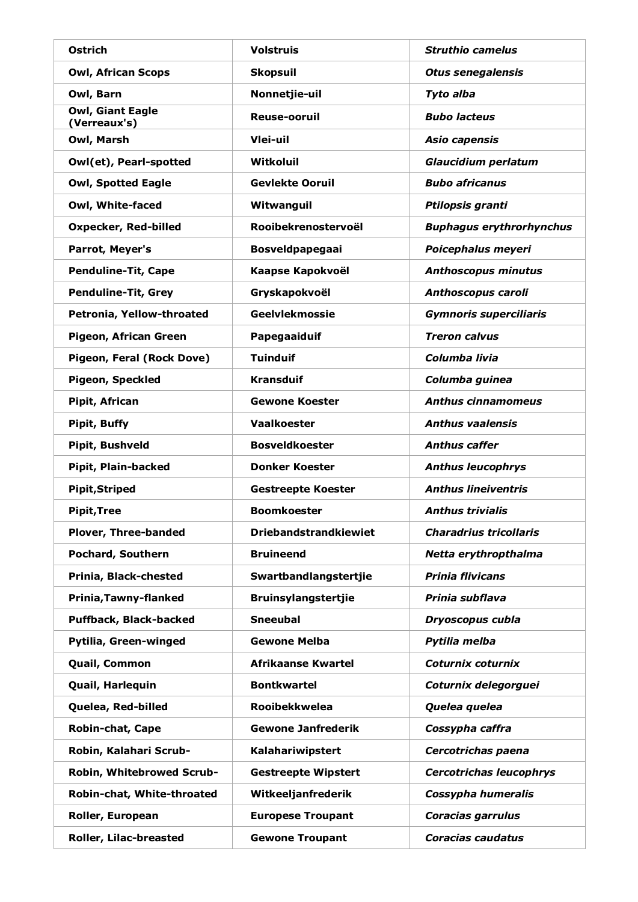| Ostrich                                 | <b>Volstruis</b>             | <b>Struthio camelus</b>         |
|-----------------------------------------|------------------------------|---------------------------------|
| <b>Owl, African Scops</b>               | <b>Skopsuil</b>              | <b>Otus senegalensis</b>        |
| Owl, Barn                               | Nonnetjie-uil                | Tyto alba                       |
| <b>Owl, Giant Eagle</b><br>(Verreaux's) | Reuse-ooruil                 | <b>Bubo lacteus</b>             |
| Owl, Marsh                              | Vlei-uil                     | Asio capensis                   |
| Owl(et), Pearl-spotted                  | Witkoluil                    | <b>Glaucidium perlatum</b>      |
| <b>Owl, Spotted Eagle</b>               | <b>Gevlekte Ooruil</b>       | <b>Bubo africanus</b>           |
| Owl, White-faced                        | Witwanguil                   | Ptilopsis granti                |
| <b>Oxpecker, Red-billed</b>             | Rooibekrenostervoël          | <b>Buphagus erythrorhynchus</b> |
| Parrot, Meyer's                         | <b>Bosveldpapegaai</b>       | Poicephalus meyeri              |
| <b>Penduline-Tit, Cape</b>              | Kaapse Kapokvoël             | <b>Anthoscopus minutus</b>      |
| <b>Penduline-Tit, Grey</b>              | Gryskapokvoël                | Anthoscopus caroli              |
| Petronia, Yellow-throated               | <b>Geelvlekmossie</b>        | <b>Gymnoris superciliaris</b>   |
| Pigeon, African Green                   | Papegaaiduif                 | <b>Treron calvus</b>            |
| Pigeon, Feral (Rock Dove)               | <b>Tuinduif</b>              | Columba livia                   |
| <b>Pigeon, Speckled</b>                 | <b>Kransduif</b>             | Columba guinea                  |
| Pipit, African                          | <b>Gewone Koester</b>        | <b>Anthus cinnamomeus</b>       |
| <b>Pipit, Buffy</b>                     | <b>Vaalkoester</b>           | <b>Anthus vaalensis</b>         |
| Pipit, Bushveld                         | <b>Bosveldkoester</b>        | <b>Anthus caffer</b>            |
| Pipit, Plain-backed                     | <b>Donker Koester</b>        | <b>Anthus leucophrys</b>        |
| <b>Pipit, Striped</b>                   | <b>Gestreepte Koester</b>    | <b>Anthus lineiventris</b>      |
| <b>Pipit, Tree</b>                      | <b>Boomkoester</b>           | <b>Anthus trivialis</b>         |
| Plover, Three-banded                    | <b>Driebandstrandkiewiet</b> | <b>Charadrius tricollaris</b>   |
| Pochard, Southern                       | <b>Bruineend</b>             | Netta erythropthalma            |
| Prinia, Black-chested                   | Swartbandlangstertjie        | <b>Prinia flivicans</b>         |
| Prinia, Tawny-flanked                   | <b>Bruinsylangstertjie</b>   | Prinia subflava                 |
| Puffback, Black-backed                  | <b>Sneeubal</b>              | Dryoscopus cubla                |
| Pytilia, Green-winged                   | <b>Gewone Melba</b>          | Pytilia melba                   |
| Quail, Common                           | <b>Afrikaanse Kwartel</b>    | Coturnix coturnix               |
| Quail, Harlequin                        | <b>Bontkwartel</b>           | Coturnix delegorguei            |
| Quelea, Red-billed                      | <b>Rooibekkwelea</b>         | Quelea quelea                   |
| <b>Robin-chat, Cape</b>                 | <b>Gewone Janfrederik</b>    | Cossypha caffra                 |
| Robin, Kalahari Scrub-                  | Kalahariwipstert             | Cercotrichas paena              |
| Robin, Whitebrowed Scrub-               | <b>Gestreepte Wipstert</b>   | <b>Cercotrichas leucophrys</b>  |
| Robin-chat, White-throated              | Witkeeljanfrederik           | Cossypha humeralis              |
| Roller, European                        | <b>Europese Troupant</b>     | <b>Coracias garrulus</b>        |
| Roller, Lilac-breasted                  | <b>Gewone Troupant</b>       | <b>Coracias caudatus</b>        |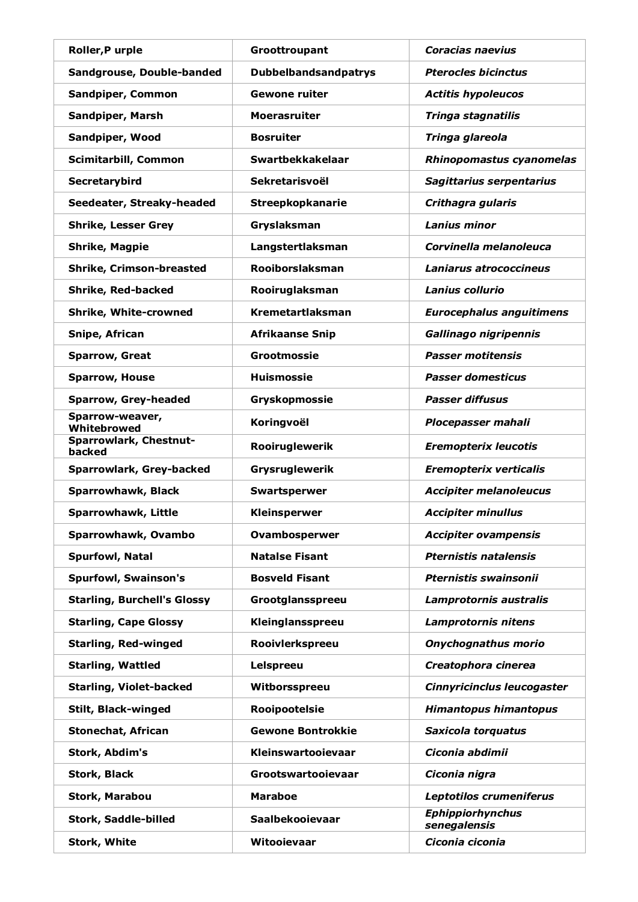| Roller, Purple                     | Groottroupant               | <b>Coracias naevius</b>                 |
|------------------------------------|-----------------------------|-----------------------------------------|
| Sandgrouse, Double-banded          | <b>Dubbelbandsandpatrys</b> | <b>Pterocles bicinctus</b>              |
| Sandpiper, Common                  | <b>Gewone ruiter</b>        | <b>Actitis hypoleucos</b>               |
| <b>Sandpiper, Marsh</b>            | <b>Moerasruiter</b>         | Tringa stagnatilis                      |
| Sandpiper, Wood                    | <b>Bosruiter</b>            | Tringa glareola                         |
| <b>Scimitarbill, Common</b>        | Swartbekkakelaar            | Rhinopomastus cyanomelas                |
| Secretarybird                      | <b>Sekretarisvoël</b>       | Sagittarius serpentarius                |
| Seedeater, Streaky-headed          | Streepkopkanarie            | Crithagra gularis                       |
| <b>Shrike, Lesser Grey</b>         | Gryslaksman                 | <b>Lanius minor</b>                     |
| <b>Shrike, Magpie</b>              | Langstertlaksman            | Corvinella melanoleuca                  |
| <b>Shrike, Crimson-breasted</b>    | Rooiborslaksman             | Laniarus atrococcineus                  |
| <b>Shrike, Red-backed</b>          | Rooiruglaksman              | <b>Lanius collurio</b>                  |
| <b>Shrike, White-crowned</b>       | <b>Kremetartlaksman</b>     | <b>Eurocephalus anguitimens</b>         |
| Snipe, African                     | <b>Afrikaanse Snip</b>      | Gallinago nigripennis                   |
| <b>Sparrow, Great</b>              | Grootmossie                 | <b>Passer motitensis</b>                |
| <b>Sparrow, House</b>              | <b>Huismossie</b>           | <b>Passer domesticus</b>                |
| <b>Sparrow, Grey-headed</b>        | Gryskopmossie               | <b>Passer diffusus</b>                  |
| Sparrow-weaver,<br>Whitebrowed     | Koringvoël                  | <b>Plocepasser mahali</b>               |
| Sparrowlark, Chestnut-<br>backed   | Rooiruglewerik              | <b>Eremopterix leucotis</b>             |
| Sparrowlark, Grey-backed           | Grysruglewerik              | <b>Eremopterix verticalis</b>           |
| Sparrowhawk, Black                 | Swartsperwer                | <b>Accipiter melanoleucus</b>           |
| Sparrowhawk, Little                | Kleinsperwer                | <b>Accipiter minullus</b>               |
| Sparrowhawk, Ovambo                | Ovambosperwer               | <b>Accipiter ovampensis</b>             |
| Spurfowl, Natal                    | <b>Natalse Fisant</b>       | <b>Pternistis natalensis</b>            |
| <b>Spurfowl, Swainson's</b>        | <b>Bosveld Fisant</b>       | Pternistis swainsonii                   |
| <b>Starling, Burchell's Glossy</b> | Grootglansspreeu            | Lamprotornis australis                  |
| <b>Starling, Cape Glossy</b>       | Kleinglansspreeu            | Lamprotornis nitens                     |
| <b>Starling, Red-winged</b>        | Rooivlerkspreeu             | Onychognathus morio                     |
| <b>Starling, Wattled</b>           | Lelspreeu                   | Creatophora cinerea                     |
| <b>Starling, Violet-backed</b>     | Witborsspreeu               | Cinnyricinclus leucogaster              |
| Stilt, Black-winged                | Rooipootelsie               | <b>Himantopus himantopus</b>            |
| <b>Stonechat, African</b>          | <b>Gewone Bontrokkie</b>    | Saxicola torquatus                      |
| Stork, Abdim's                     | Kleinswartooievaar          | Ciconia abdimii                         |
| <b>Stork, Black</b>                | Grootswartooievaar          | Ciconia nigra                           |
| Stork, Marabou                     | <b>Maraboe</b>              | Leptotilos crumeniferus                 |
| Stork, Saddle-billed               | Saalbekooievaar             | <b>Ephippiorhynchus</b><br>senegalensis |
| Stork, White                       | Witooievaar                 | Ciconia ciconia                         |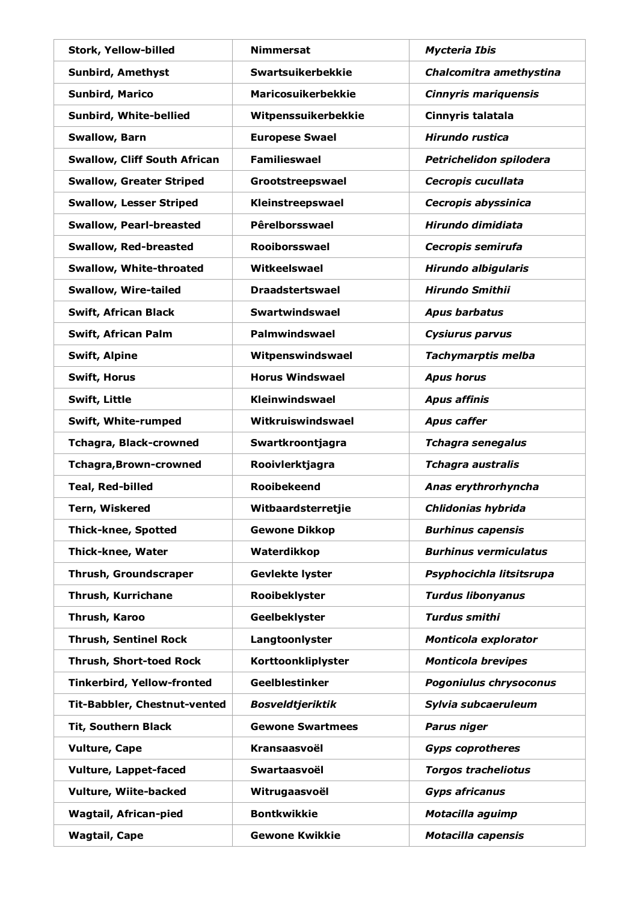| Stork, Yellow-billed                | <b>Nimmersat</b>          | <b>Mycteria Ibis</b>         |
|-------------------------------------|---------------------------|------------------------------|
| <b>Sunbird, Amethyst</b>            | Swartsuikerbekkie         | Chalcomitra amethystina      |
| <b>Sunbird, Marico</b>              | <b>Maricosuikerbekkie</b> | <b>Cinnyris mariquensis</b>  |
| Sunbird, White-bellied              | Witpenssuikerbekkie       | Cinnyris talatala            |
| <b>Swallow, Barn</b>                | <b>Europese Swael</b>     | Hirundo rustica              |
| <b>Swallow, Cliff South African</b> | <b>Familieswael</b>       | Petrichelidon spilodera      |
| <b>Swallow, Greater Striped</b>     | Grootstreepswael          | Cecropis cucullata           |
| <b>Swallow, Lesser Striped</b>      | Kleinstreepswael          | Cecropis abyssinica          |
| <b>Swallow, Pearl-breasted</b>      | Pêrelborsswael            | Hirundo dimidiata            |
| <b>Swallow, Red-breasted</b>        | Rooiborsswael             | Cecropis semirufa            |
| <b>Swallow, White-throated</b>      | Witkeelswael              | <b>Hirundo albigularis</b>   |
| <b>Swallow, Wire-tailed</b>         | <b>Draadstertswael</b>    | <b>Hirundo Smithii</b>       |
| <b>Swift, African Black</b>         | <b>Swartwindswael</b>     | <b>Apus barbatus</b>         |
| Swift, African Palm                 | <b>Palmwindswael</b>      | <b>Cysiurus parvus</b>       |
| <b>Swift, Alpine</b>                | Witpenswindswael          | <b>Tachymarptis melba</b>    |
| <b>Swift, Horus</b>                 | <b>Horus Windswael</b>    | <b>Apus horus</b>            |
| Swift, Little                       | Kleinwindswael            | <b>Apus affinis</b>          |
| Swift, White-rumped                 | Witkruiswindswael         | <b>Apus caffer</b>           |
| <b>Tchagra, Black-crowned</b>       | Swartkroontjagra          | <b>Tchagra senegalus</b>     |
| <b>Tchagra, Brown-crowned</b>       | Rooivlerktjagra           | <b>Tchagra australis</b>     |
| <b>Teal, Red-billed</b>             | <b>Rooibekeend</b>        | Anas erythrorhyncha          |
| <b>Tern, Wiskered</b>               | Witbaardsterretjie        | Chlidonias hybrida           |
| <b>Thick-knee, Spotted</b>          | <b>Gewone Dikkop</b>      | <b>Burhinus capensis</b>     |
| Thick-knee, Water                   | Waterdikkop               | <b>Burhinus vermiculatus</b> |
| <b>Thrush, Groundscraper</b>        | Gevlekte lyster           | Psyphocichla litsitsrupa     |
| Thrush, Kurrichane                  | Rooibeklyster             | <b>Turdus libonyanus</b>     |
| Thrush, Karoo                       | Geelbeklyster             | <b>Turdus smithi</b>         |
| <b>Thrush, Sentinel Rock</b>        | Langtoonlyster            | Monticola explorator         |
| Thrush, Short-toed Rock             | Korttoonkliplyster        | <b>Monticola brevipes</b>    |
| <b>Tinkerbird, Yellow-fronted</b>   | <b>Geelblestinker</b>     | Pogoniulus chrysoconus       |
| Tit-Babbler, Chestnut-vented        | <b>Bosveldtjeriktik</b>   | Sylvia subcaeruleum          |
| <b>Tit, Southern Black</b>          | <b>Gewone Swartmees</b>   | Parus niger                  |
| <b>Vulture, Cape</b>                | Kransaasvoël              | <b>Gyps coprotheres</b>      |
| <b>Vulture, Lappet-faced</b>        | Swartaasvoël              | <b>Torgos tracheliotus</b>   |
| Vulture, Wiite-backed               | Witrugaasvoël             | <b>Gyps africanus</b>        |
| <b>Wagtail, African-pied</b>        | <b>Bontkwikkie</b>        | Motacilla aguimp             |
| <b>Wagtail, Cape</b>                | <b>Gewone Kwikkie</b>     | <b>Motacilla capensis</b>    |